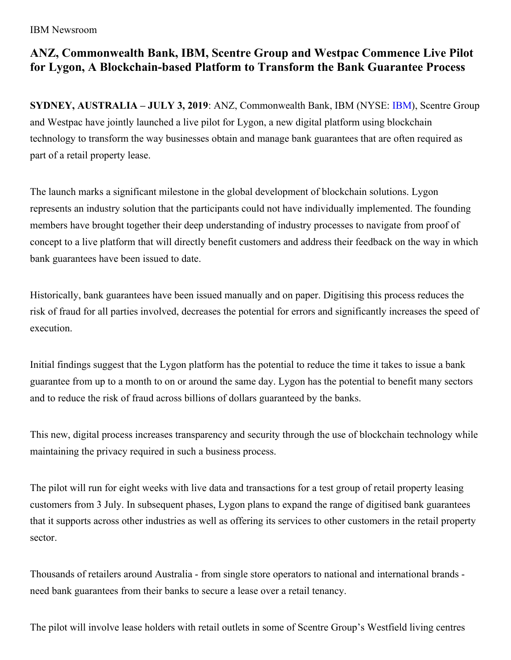IBM Newsroom

## **ANZ, Commonwealth Bank, IBM, Scentre Group and Westpac Commence Live Pilot for Lygon, A Blockchain-based Platform to Transform the Bank Guarantee Process**

**SYDNEY, AUSTRALIA – JULY 3, 2019**: ANZ, Commonwealth Bank, IBM (NYSE: [IBM](http://www.ibm.com/investor)), Scentre Group and Westpac have jointly launched a live pilot for Lygon, a new digital platform using blockchain technology to transform the way businesses obtain and manage bank guarantees that are often required as part of a retail property lease.

The launch marks a significant milestone in the global development of blockchain solutions. Lygon represents an industry solution that the participants could not have individually implemented. The founding members have brought together their deep understanding of industry processes to navigate from proof of concept to a live platform that will directly benefit customers and address their feedback on the way in which bank guarantees have been issued to date.

Historically, bank guarantees have been issued manually and on paper. Digitising this process reduces the risk of fraud for all parties involved, decreases the potential for errors and significantly increases the speed of execution.

Initial findings suggest that the Lygon platform has the potential to reduce the time it takes to issue a bank guarantee from up to a month to on or around the same day. Lygon has the potential to benefit many sectors and to reduce the risk of fraud across billions of dollars guaranteed by the banks.

This new, digital process increases transparency and security through the use of blockchain technology while maintaining the privacy required in such a business process.

The pilot will run for eight weeks with live data and transactions for a test group of retail property leasing customers from 3 July. In subsequent phases, Lygon plans to expand the range of digitised bank guarantees that it supports across other industries as well as offering its services to other customers in the retail property sector.

Thousands of retailers around Australia - from single store operators to national and international brands need bank guarantees from their banks to secure a lease over a retail tenancy.

The pilot will involve lease holders with retail outlets in some of Scentre Group's Westfield living centres